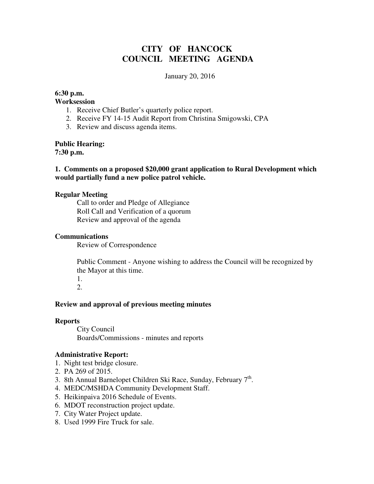# **CITY OF HANCOCK COUNCIL MEETING AGENDA**

#### January 20, 2016

## **6:30 p.m.**

#### **Worksession**

- 1. Receive Chief Butler's quarterly police report.
- 2. Receive FY 14-15 Audit Report from Christina Smigowski, CPA
- 3. Review and discuss agenda items.

**Public Hearing:** 

**7:30 p.m.** 

## **1. Comments on a proposed \$20,000 grant application to Rural Development which would partially fund a new police patrol vehicle.**

#### **Regular Meeting**

 Call to order and Pledge of Allegiance Roll Call and Verification of a quorum Review and approval of the agenda

#### **Communications**

Review of Correspondence

 Public Comment - Anyone wishing to address the Council will be recognized by the Mayor at this time.

1.

2.

## **Review and approval of previous meeting minutes**

#### **Reports**

City Council Boards/Commissions - minutes and reports

## **Administrative Report:**

- 1. Night test bridge closure.
- 2. PA 269 of 2015.
- 3. 8th Annual Barnelopet Children Ski Race, Sunday, February  $7<sup>th</sup>$ .
- 4. MEDC/MSHDA Community Development Staff.
- 5. Heikinpaiva 2016 Schedule of Events.
- 6. MDOT reconstruction project update.
- 7. City Water Project update.
- 8. Used 1999 Fire Truck for sale.